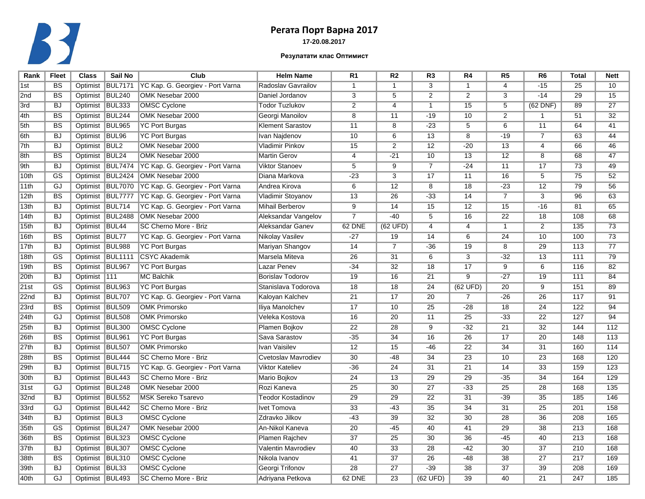

## **17-20.08.2017 Регата Порт Варна 2017**

## **Резулатати клас Оптимист**

| Rank             | <b>Fleet</b>           | <b>Class</b>    | Sail No           | Club                             | <b>Helm Name</b>         | R <sub>1</sub>  | R <sub>2</sub>  | R <sub>3</sub>  | R <sub>4</sub>  | R <sub>5</sub>  | R <sub>6</sub>  | <b>Total</b>    | <b>Nett</b>     |
|------------------|------------------------|-----------------|-------------------|----------------------------------|--------------------------|-----------------|-----------------|-----------------|-----------------|-----------------|-----------------|-----------------|-----------------|
| 1st              | $\overline{BS}$        | Optimist        | <b>BUL7171</b>    | YC Kap. G. Georgiev - Port Varna | Radoslav Gavrailov       | $\mathbf{1}$    | $\mathbf{1}$    | $\overline{3}$  | $\mathbf{1}$    | $\overline{4}$  | $-15$           | 25              | 10              |
| 2nd              | $\overline{BS}$        | Optimist BUL240 |                   | OMK Nesebar 2000                 | Daniel Jordanov          | $\overline{3}$  | 5               | $\overline{2}$  | $\overline{2}$  | $\overline{3}$  | $-14$           | $\overline{29}$ | 15              |
| 3rd              | <b>BJ</b>              | Optimist BUL333 |                   | <b>OMSC Cyclone</b>              | <b>Todor Tuzlukov</b>    | $\overline{2}$  | $\overline{4}$  | $\overline{1}$  | 15              | $\overline{5}$  | $(62$ DNF)      | 89              | $\overline{27}$ |
| 4th              | $\overline{BS}$        | Optimist        | BUL244            | OMK Nesebar 2000                 | Georgi Manoilov          | $\overline{8}$  | 11              | $-19$           | 10              | $\overline{2}$  | 1               | 51              | $\overline{32}$ |
| 5th              | <b>BS</b>              | Optimist BUL965 |                   | <b>YC Port Burgas</b>            | <b>Klement Sarastov</b>  | 11              | $\overline{8}$  | $-23$           | $\overline{5}$  | $\overline{6}$  | 11              | 64              | 41              |
| 6th              | <b>BJ</b>              | Optimist        | BUL <sub>96</sub> | <b>YC Port Burgas</b>            | Ivan Najdenov            | 10              | 6               | 13              | $\overline{8}$  | $-19$           | $\overline{7}$  | 63              | 44              |
| 7th              | BJ                     | Optimist        | <b>BUL2</b>       | OMK Nesebar 2000                 | Vladimir Pinkov          | 15              | $\overline{2}$  | 12              | $-20$           | $\overline{13}$ | 4               | 66              | 46              |
| 8th              | $\overline{BS}$        | Optimist BUL24  |                   | OMK Nesebar 2000                 | <b>Martin Gerov</b>      | $\overline{4}$  | $-21$           | 10              | $\overline{13}$ | $\overline{12}$ | $\overline{8}$  | 68              | 47              |
| 9th              | <b>BJ</b>              | Optimist        | <b>BUL7474</b>    | YC Kap. G. Georgiev - Port Varna | <b>Viktor Stanoev</b>    | 5               | $\overline{9}$  | $\overline{7}$  | $-24$           | $\overline{11}$ | 17              | 73              | 49              |
| 10th             | $\overline{\text{GS}}$ | Optimist        | <b>BUL2424</b>    | <b>OMK Nesebar 2000</b>          | Diana Markova            | $-23$           | $\overline{3}$  | 17              | 11              | 16              | $\overline{5}$  | 75              | 52              |
| 11th             | GJ                     |                 | Optimist BUL7070  | YC Kap. G. Georgiev - Port Varna | Andrea Kirova            | $\overline{6}$  | $\overline{12}$ | $\overline{8}$  | $\overline{18}$ | $-23$           | $\overline{12}$ | 79              | 56              |
| 12 <sub>th</sub> | BS                     | Optimist        | BUL7777           | YC Kap. G. Georgiev - Port Varna | Vladimir Stoyanov        | 13              | $\overline{26}$ | $-33$           | $\overline{14}$ | $\overline{7}$  | $\overline{3}$  | 96              | 63              |
| 13th             | <b>BJ</b>              | Optimist        | BUL714            | YC Kap. G. Georgiev - Port Varna | Mihail Berberov          | $\overline{9}$  | 14              | 15              | 12              | 15              | $-16$           | 81              | 65              |
| 14 <sub>th</sub> | <b>BJ</b>              |                 | Optimist BUL2488  | OMK Nesebar 2000                 | Aleksandar Vangelov      | $\overline{7}$  | $-40$           | $\overline{5}$  | $\overline{16}$ | $\overline{22}$ | $\overline{18}$ | 108             | 68              |
| 15th             | <b>BJ</b>              | Optimist        | BUL44             | SC Cherno More - Briz            | Aleksandar Ganev         | 62 DNE          | (62 UFD)        | $\overline{4}$  | $\overline{4}$  | $\mathbf{1}$    | $\overline{2}$  | 135             | 73              |
| 16th             | BS                     | Optimist        | BUL77             | YC Kap. G. Georgiev - Port Varna | Nikolay Vasilev          | $-27$           | 19              | 14              | 6               | $\overline{24}$ | 10              | 100             | 73              |
| 17th             | <b>BJ</b>              | Optimist        | <b>BUL988</b>     | <b>YC Port Burgas</b>            | Mariyan Shangov          | 14              | $\overline{7}$  | $-36$           | 19              | $\overline{8}$  | $\overline{29}$ | 113             | 77              |
| 18th             | GS                     | Optimist        | <b>BUL1111</b>    | <b>CSYC Akademik</b>             | Marsela Miteva           | 26              | 31              | 6               | 3               | $-32$           | 13              | 111             | 79              |
| 19th             | BS                     | Optimist        | BUL967            | <b>YC Port Burgas</b>            | Lazar Penev              | $-34$           | 32              | 18              | 17              | $\overline{9}$  | 6               | 116             | 82              |
| 20th             | <b>BJ</b>              | Optimist        | 111               | MC Balchik                       | Borislav Todorov         | 19              | 16              | 21              | $\overline{9}$  | $-27$           | 19              | 111             | 84              |
| 21st             | GS                     | Optimist        | <b>BUL963</b>     | YC Port Burgas                   | Stanislava Todorova      | 18              | 18              | 24              | (62 UFD)        | 20              | 9               | 151             | 89              |
| 22nd             | <b>BJ</b>              | Optimist        | <b>BUL707</b>     | YC Kap. G. Georgiev - Port Varna | Kaloyan Kalchev          | 21              | 17              | 20              | $\overline{7}$  | $-26$           | 26              | 117             | 91              |
| 23rd             | <b>BS</b>              | Optimist BUL509 |                   | <b>OMK Primorsko</b>             | Iliya Manolchev          | 17              | 10              | $\overline{25}$ | $-28$           | $\overline{18}$ | $\overline{24}$ | 122             | 94              |
| 24th             | GJ                     | Optimist        | <b>BUL508</b>     | <b>OMK Primorsko</b>             | Veleka Kostova           | 16              | 20              | 11              | 25              | $-33$           | 22              | 127             | 94              |
| 25 <sub>th</sub> | <b>BJ</b>              | Optimist        | <b>BUL300</b>     | <b>OMSC Cyclone</b>              | Plamen Bojkov            | 22              | 28              | $\overline{9}$  | $-32$           | $\overline{21}$ | 32              | 144             | 112             |
| 26th             | <b>BS</b>              | Optimist BUL961 |                   | <b>YC Port Burgas</b>            | Sava Sarastov            | $-35$           | 34              | 16              | 26              | 17              | 20              | 148             | 113             |
| 27th             | <b>BJ</b>              | Optimist        | <b>BUL507</b>     | <b>OMK Primorsko</b>             | Ivan Vaisilev            | 12              | 15              | $-46$           | 22              | $\overline{34}$ | 31              | 160             | 114             |
| 28th             | $\overline{BS}$        | Optimist        | BUL444            | SC Cherno More - Briz            | Cvetoslav Mavrodiev      | 30              | $-48$           | 34              | 23              | 10              | $\overline{23}$ | 168             | 120             |
| 29th             | <b>BJ</b>              | Optimist BUL715 |                   | YC Kap. G. Georgiev - Port Varna | Viktor Kateliev          | $-36$           | 24              | 31              | 21              | 14              | 33              | 159             | 123             |
| 30 <sub>th</sub> | <b>BJ</b>              | Optimist        | <b>BUL443</b>     | SC Cherno More - Briz            | Mario Bojkov             | 24              | 13              | 29              | 29              | $-35$           | 34              | 164             | 129             |
| 31st             | GJ                     | Optimist BUL248 |                   | OMK Nesebar 2000                 | Rozi Kaneva              | $\overline{25}$ | 30              | $\overline{27}$ | $-33$           | 25              | $\overline{28}$ | 168             | 135             |
| 32 <sub>nd</sub> | <b>BJ</b>              | Optimist BUL552 |                   | <b>MSK Sereko Tsarevo</b>        | <b>Teodor Kostadinov</b> | $\overline{29}$ | 29              | $\overline{22}$ | 31              | $-39$           | $\overline{35}$ | 185             | 146             |
| 33rd             | GJ                     | Optimist BUL442 |                   | SC Cherno More - Briz            | <b>Ivet Tomova</b>       | $\overline{33}$ | $-43$           | $\overline{35}$ | $\overline{34}$ | $\overline{31}$ | $\overline{25}$ | 201             | 158             |
| 34th             | <b>BJ</b>              | Optimist BUL3   |                   | <b>OMSC Cyclone</b>              | Zdravko Jilkov           | $-43$           | 39              | $\overline{32}$ | 30              | $\overline{28}$ | 36              | 208             | 165             |
| 35 <sub>th</sub> | GS                     | Optimist BUL247 |                   | OMK Nesebar 2000                 | An-Nikol Kaneva          | 20              | -45             | 40              | 41              | $\overline{29}$ | $\overline{38}$ | 213             | 168             |
| 36th             | BS                     | Optimist        | <b>BUL323</b>     | <b>OMSC Cyclone</b>              | Plamen Rajchev           | $\overline{37}$ | $\overline{25}$ | 30              | $\overline{36}$ | $-45$           | 40              | 213             | 168             |
| 37th             | <b>BJ</b>              | Optimist BUL307 |                   | <b>OMSC Cyclone</b>              | Valentin Mavrodiev       | 40              | $\overline{33}$ | 28              | $-42$           | 30              | $\overline{37}$ | 210             | 168             |
| 38th             | BS                     | Optimist BUL310 |                   | <b>OMSC Cyclone</b>              | Nikola Ivanov            | 41              | $\overline{37}$ | 26              | -48             | 38              | $\overline{27}$ | 217             | 169             |
| 39th             | <b>BJ</b>              | Optimist        | BUL33             | <b>OMSC Cyclone</b>              | Georgi Trifonov          | $\overline{28}$ | $\overline{27}$ | $-39$           | 38              | $\overline{37}$ | $\overline{39}$ | 208             | 169             |
| 40th             | GJ                     | Optimist BUL493 |                   | SC Cherno More - Briz            | Adriyana Petkova         | 62 DNE          | $\overline{23}$ | (62 UFD)        | 39              | 40              | $\overline{21}$ | 247             | 185             |